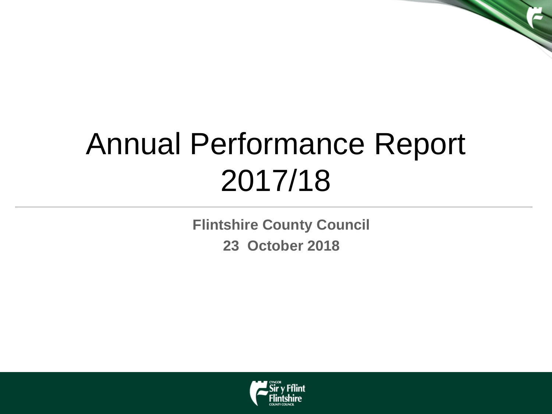# Annual Performance Report 2017/18

**Flintshire County Council 23 October 2018**

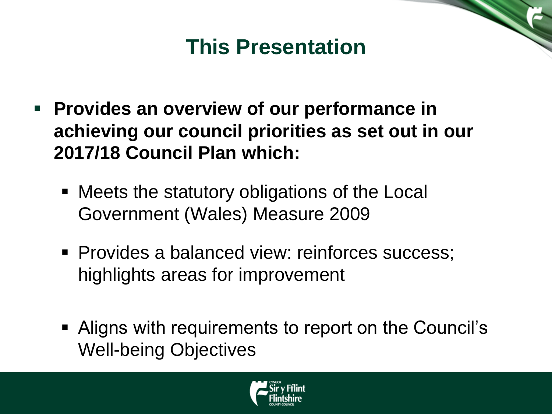### **This Presentation**

- **Provides an overview of our performance in achieving our council priorities as set out in our 2017/18 Council Plan which:**
	- Meets the statutory obligations of the Local Government (Wales) Measure 2009
	- **Provides a balanced view: reinforces success;** highlights areas for improvement
	- Aligns with requirements to report on the Council's Well-being Objectives

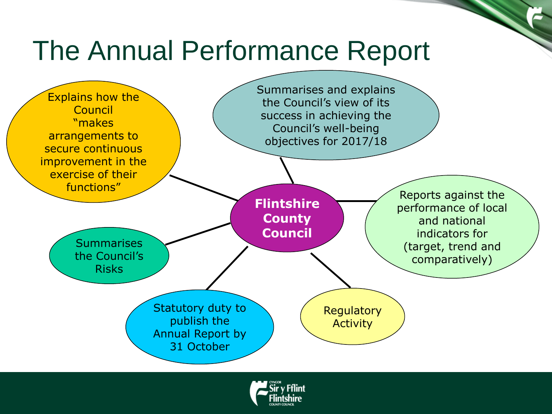### The Annual Performance Report



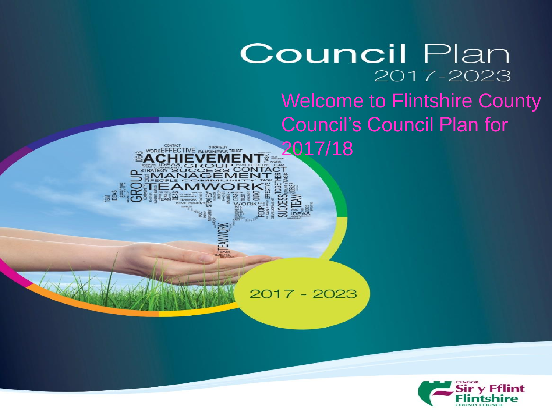### **Council Plan** 2017-2023 Welcome to Flintshire County Council's Council Plan for

2017 - 2023

2017/18

WORKEFFECTIVE BUSINESS TRUST

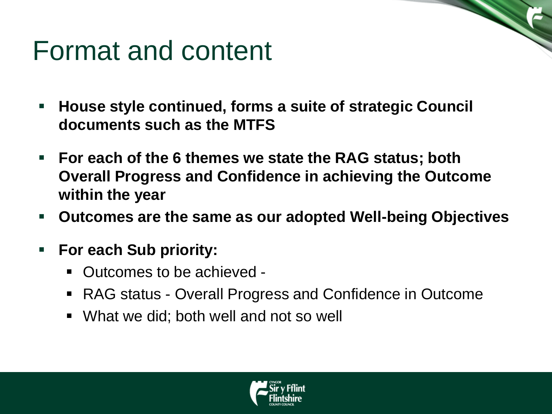### Format and content

- **House style continued, forms a suite of strategic Council documents such as the MTFS**
- **For each of the 6 themes we state the RAG status; both Overall Progress and Confidence in achieving the Outcome within the year**
- **Outcomes are the same as our adopted Well-being Objectives**
- **For each Sub priority:**
	- Outcomes to be achieved -
	- RAG status Overall Progress and Confidence in Outcome
	- What we did; both well and not so well

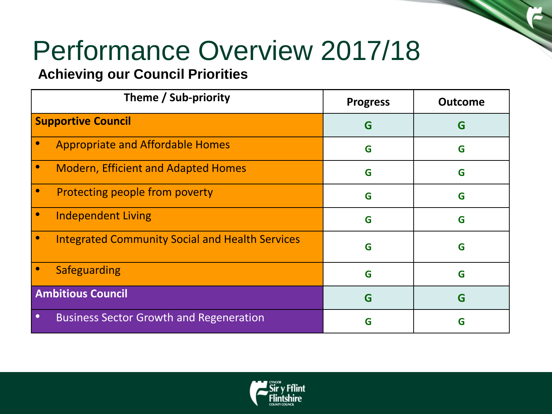### Performance Overview 2017/18

#### **Achieving our Council Priorities**

| Theme / Sub-priority                                        | <b>Progress</b> | <b>Outcome</b> |
|-------------------------------------------------------------|-----------------|----------------|
| <b>Supportive Council</b>                                   | G               | G              |
| <b>Appropriate and Affordable Homes</b>                     | G               | G              |
| <b>Modern, Efficient and Adapted Homes</b>                  | G               | G              |
| Protecting people from poverty                              | G               | G              |
| <b>Independent Living</b>                                   | G               | G              |
| <b>Integrated Community Social and Health Services</b>      | G               | G              |
| Safeguarding                                                | G               | G              |
| <b>Ambitious Council</b>                                    | G               | G              |
| <b>Business Sector Growth and Regeneration</b><br>$\bullet$ | G               | G              |

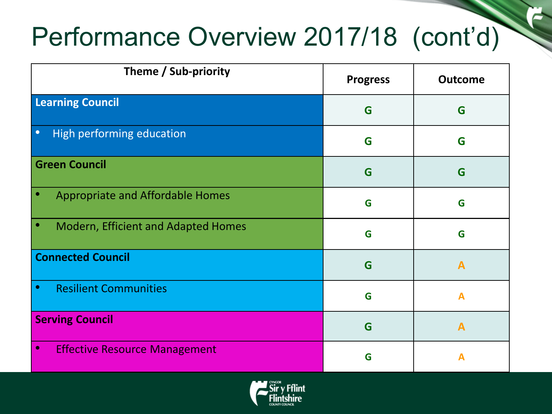### Performance Overview 2017/18 (cont'd)

| Theme / Sub-priority                              | <b>Progress</b> | <b>Outcome</b> |
|---------------------------------------------------|-----------------|----------------|
| <b>Learning Council</b>                           | G               | G              |
| High performing education<br>$\bullet$            | G               | G              |
| <b>Green Council</b>                              | G               | G              |
| <b>Appropriate and Affordable Homes</b>           | G               | G              |
| <b>Modern, Efficient and Adapted Homes</b>        | G               | G              |
| <b>Connected Council</b>                          | G               | A              |
| <b>Resilient Communities</b><br>$\bullet$         | G               | $\mathbf{A}$   |
| <b>Serving Council</b>                            | G               | $\mathbf{A}$   |
| <b>Effective Resource Management</b><br>$\bullet$ | G               |                |

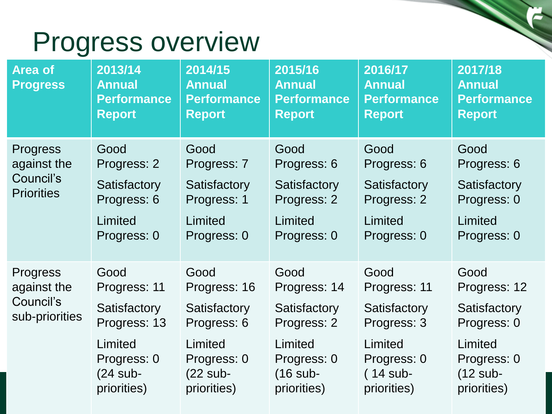### Progress overview

| <b>Area of</b><br><b>Progress</b>                                | 2013/14<br><b>Annual</b><br><b>Performance</b><br><b>Report</b> | 2014/15<br><b>Annual</b><br><b>Performance</b><br><b>Report</b> | 2015/16<br><b>Annual</b><br><b>Performance</b><br><b>Report</b> | 2016/17<br><b>Annual</b><br><b>Performance</b><br><b>Report</b> | 2017/18<br><b>Annual</b><br><b>Performance</b><br><b>Report</b> |
|------------------------------------------------------------------|-----------------------------------------------------------------|-----------------------------------------------------------------|-----------------------------------------------------------------|-----------------------------------------------------------------|-----------------------------------------------------------------|
| <b>Progress</b><br>against the<br>Council's<br><b>Priorities</b> | Good<br>Progress: 2                                             | Good<br>Progress: 7                                             | Good<br>Progress: 6                                             | Good<br>Progress: 6                                             | Good<br>Progress: 6                                             |
|                                                                  | Satisfactory<br>Progress: 6                                     | Satisfactory<br>Progress: 1                                     | Satisfactory<br>Progress: 2                                     | Satisfactory<br>Progress: 2                                     | Satisfactory<br>Progress: 0                                     |
|                                                                  | Limited<br>Progress: 0                                          | Limited<br>Progress: 0                                          | Limited<br>Progress: 0                                          | Limited<br>Progress: 0                                          | Limited<br>Progress: 0                                          |
| <b>Progress</b><br>against the<br>Council's<br>sub-priorities    | Good<br>Progress: 11                                            | Good<br>Progress: 16                                            | Good<br>Progress: 14                                            | Good<br>Progress: 11                                            | Good<br>Progress: 12                                            |
|                                                                  | Satisfactory<br>Progress: 13                                    | Satisfactory<br>Progress: 6                                     | Satisfactory<br>Progress: 2                                     | Satisfactory<br>Progress: 3                                     | Satisfactory<br>Progress: 0                                     |
|                                                                  | Limited<br>Progress: 0<br>$(24$ sub-<br>priorities)             | Limited<br>Progress: 0<br>$(22$ sub-<br>priorities)             | Limited<br>Progress: 0<br>$(16$ sub-<br>priorities)             | Limited<br>Progress: 0<br>$(14$ sub-<br>priorities)             | Limited<br>Progress: 0<br>$(12 \text{ sub-}$<br>priorities)     |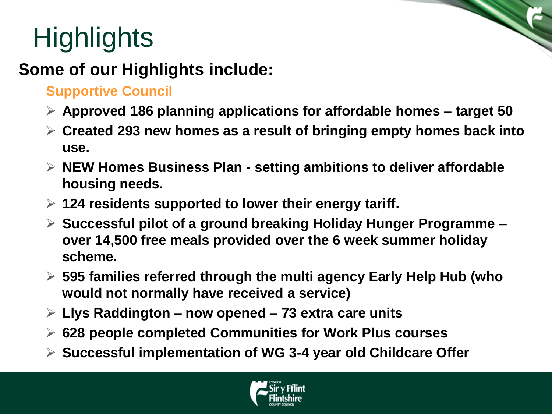# **Highlights**

### **Some of our Highlights include:**

#### **Supportive Council**

- **Approved 186 planning applications for affordable homes – target 50**
- **Created 293 new homes as a result of bringing empty homes back into use.**
- **NEW Homes Business Plan - setting ambitions to deliver affordable housing needs.**
- **124 residents supported to lower their energy tariff.**
- **Successful pilot of a ground breaking Holiday Hunger Programme – over 14,500 free meals provided over the 6 week summer holiday scheme.**
- **595 families referred through the multi agency Early Help Hub (who would not normally have received a service)**
- **Llys Raddington – now opened – 73 extra care units**
- **628 people completed Communities for Work Plus courses**
- **Successful implementation of WG 3-4 year old Childcare Offer**

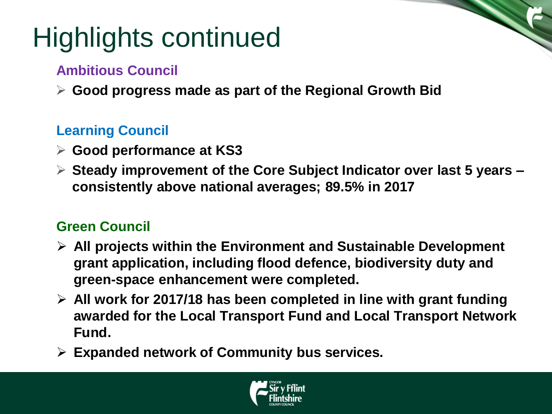## Highlights continued

#### **Ambitious Council**

**Good progress made as part of the Regional Growth Bid**

#### **Learning Council**

- **Good performance at KS3**
- **Steady improvement of the Core Subject Indicator over last 5 years – consistently above national averages; 89.5% in 2017**

#### **Green Council**

- **All projects within the Environment and Sustainable Development grant application, including flood defence, biodiversity duty and green-space enhancement were completed.**
- **All work for 2017/18 has been completed in line with grant funding awarded for the Local Transport Fund and Local Transport Network Fund.**
- **Expanded network of Community bus services.**

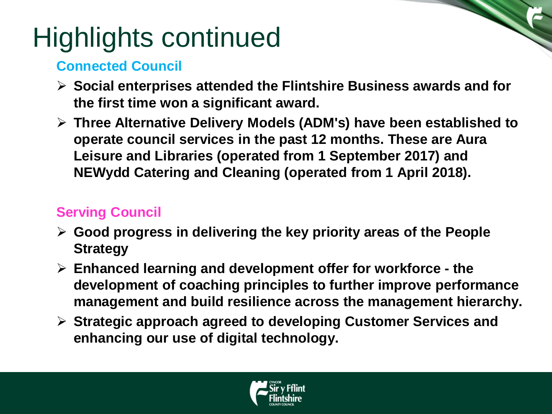## Highlights continued

#### **Connected Council**

- **Social enterprises attended the Flintshire Business awards and for the first time won a significant award.**
- **Three Alternative Delivery Models (ADM's) have been established to operate council services in the past 12 months. These are Aura Leisure and Libraries (operated from 1 September 2017) and NEWydd Catering and Cleaning (operated from 1 April 2018).**

#### **Serving Council**

- **Good progress in delivering the key priority areas of the People Strategy**
- **Enhanced learning and development offer for workforce - the development of coaching principles to further improve performance management and build resilience across the management hierarchy.**
- **Strategic approach agreed to developing Customer Services and enhancing our use of digital technology.**

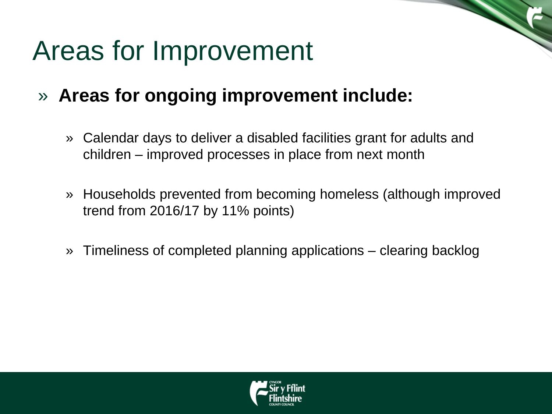### Areas for Improvement

- » **Areas for ongoing improvement include:**
	- » Calendar days to deliver a disabled facilities grant for adults and children – improved processes in place from next month
	- » Households prevented from becoming homeless (although improved trend from 2016/17 by 11% points)
	- » Timeliness of completed planning applications clearing backlog

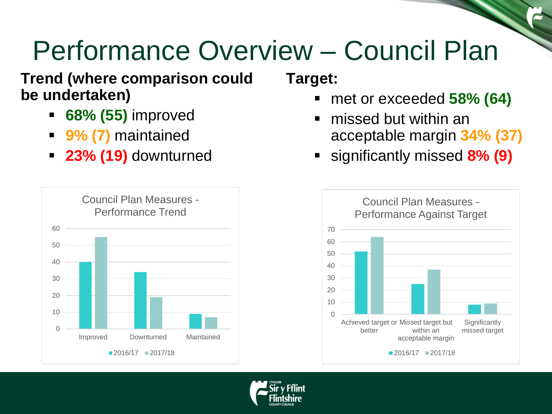## Performance Overview – Council Plan

#### **Trend (where comparison could be undertaken)**

- **68% (55)** improved
- **9% (7)** maintained
- **23% (19)** downturned



**Target:** 

- met or exceeded **58% (64)**
- missed but within an acceptable margin **34% (37)**
- significantly missed **8% (9)**



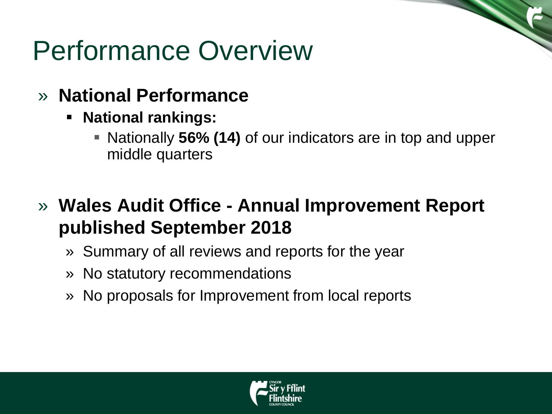### Performance Overview

- » **National Performance**
	- **National rankings:** 
		- Nationally **56% (14)** of our indicators are in top and upper middle quarters
- » **Wales Audit Office - Annual Improvement Report published September 2018**
	- » Summary of all reviews and reports for the year
	- » No statutory recommendations
	- » No proposals for Improvement from local reports

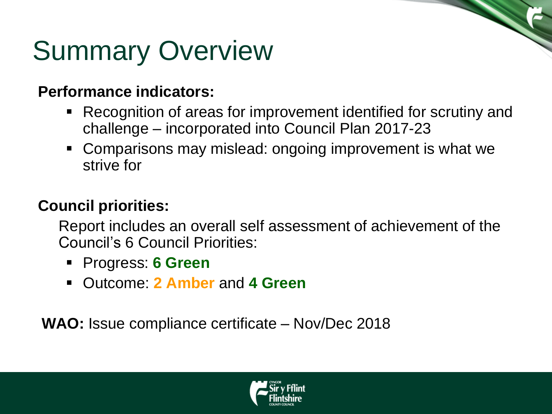### Summary Overview

#### **Performance indicators:**

- Recognition of areas for improvement identified for scrutiny and challenge – incorporated into Council Plan 2017-23
- Comparisons may mislead: ongoing improvement is what we strive for

#### **Council priorities:**

Report includes an overall self assessment of achievement of the Council's 6 Council Priorities:

- Progress: **6 Green**
- Outcome: **2 Amber** and **4 Green**

**WAO:** Issue compliance certificate – Nov/Dec 2018